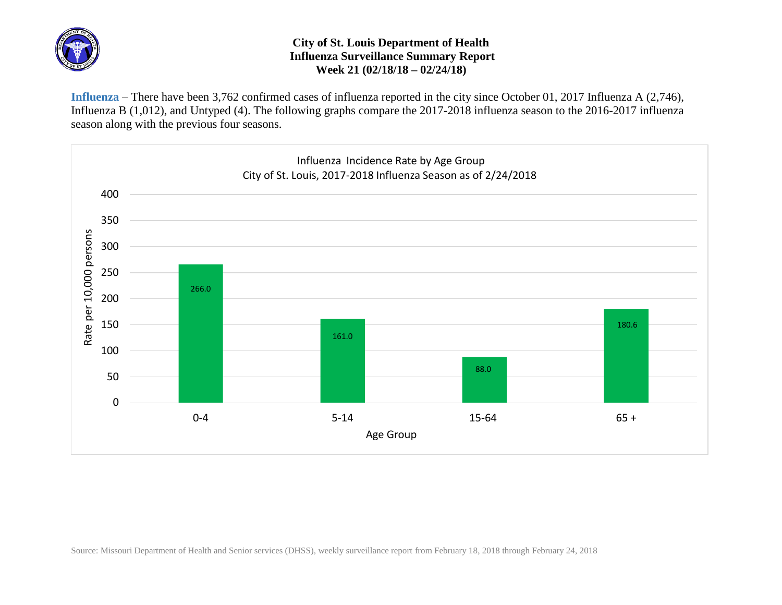

## **City of St. Louis Department of Health Influenza Surveillance Summary Report Week 21 (02/18/18 – 02/24/18)**

**Influenza** – There have been 3,762 confirmed cases of influenza reported in the city since October 01, 2017 Influenza A (2,746), Influenza B (1,012), and Untyped (4). The following graphs compare the 2017-2018 influenza season to the 2016-2017 influenza season along with the previous four seasons.